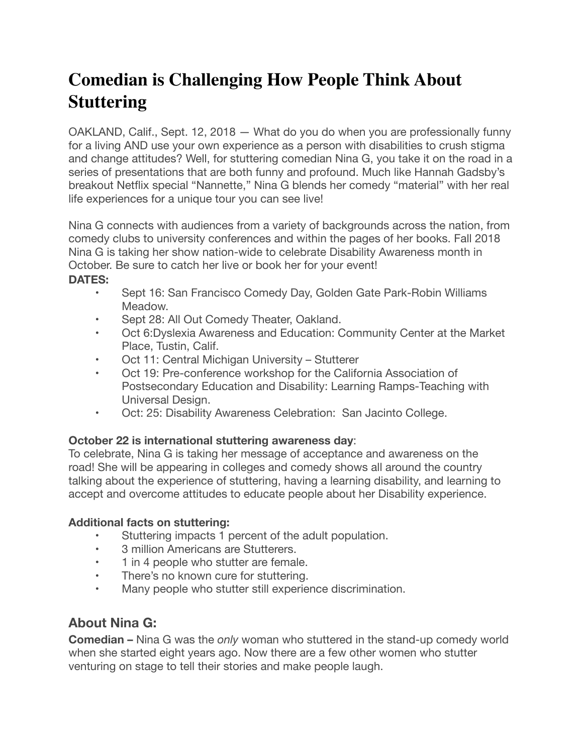# **Comedian is Challenging How People Think About Stuttering**

OAKLAND, Calif., Sept. 12, 2018 — What do you do when you are professionally funny for a living AND use your own experience as a person with disabilities to crush stigma and change attitudes? Well, for stuttering comedian Nina G, you take it on the road in a series of presentations that are both funny and profound. Much like Hannah Gadsby's breakout Netflix special "Nannette," Nina G blends her comedy "material" with her real life experiences for a unique tour you can see live!

Nina G connects with audiences from a variety of backgrounds across the nation, from comedy clubs to university conferences and within the pages of her books. Fall 2018 Nina G is taking her show nation-wide to celebrate Disability Awareness month in October. Be sure to catch her live or book her for your event!

### **DATES:**

- Sept 16: San Francisco Comedy Day, Golden Gate Park-Robin Williams Meadow.
- Sept 28: All Out Comedy Theater, Oakland.
- • Oct 6:Dyslexia Awareness and Education: Community Center at the Market Place, Tustin, Calif.
- Oct 11: Central Michigan University Stutterer
- Oct 19: Pre-conference workshop for the California Association of Postsecondary Education and Disability: Learning Ramps-Teaching with Universal Design.
- Oct: 25: Disability Awareness Celebration: San Jacinto College.

## **October 22 is international stuttering awareness day**:

To celebrate, Nina G is taking her message of acceptance and awareness on the road! She will be appearing in colleges and comedy shows all around the country talking about the experience of stuttering, having a learning disability, and learning to accept and overcome attitudes to educate people about her Disability experience.

### **Additional facts on stuttering:**

- • Stuttering impacts 1 percent of the adult population.
- • 3 million Americans are Stutterers.
- 1 in 4 people who stutter are female.
- There's no known cure for stuttering.
- Many people who stutter still experience discrimination.

# **About Nina G:**

**Comedian –** Nina G was the *only* woman who stuttered in the stand-up comedy world when she started eight years ago. Now there are a few other women who stutter venturing on stage to tell their stories and make people laugh.